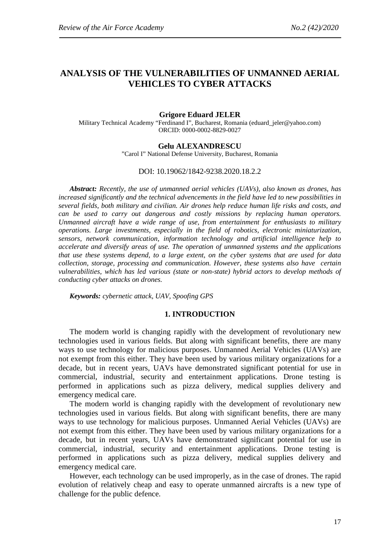# **ANALYSIS OF THE VULNERABILITIES OF UNMANNED AERIAL VEHICLES TO CYBER ATTACKS**

# **Grigore Eduard JELER**

Military Technical Academy "Ferdinand I", Bucharest, Romania (eduard\_jeler@yahoo.com) ORCID: 0000-0002-8829-0027

# **Gelu ALEXANDRESCU**

"Carol I" National Defense University, Bucharest, Romania

#### DOI: 10.19062/1842-9238.2020.18.2.2

*Abstract: Recently, the use of unmanned aerial vehicles (UAVs), also known as drones, has increased significantly and the technical advencements in the field have led to new possibilities in several fields, both military and civilian. Air drones help reduce human life risks and costs, and can be used to carry out dangerous and costly missions by replacing human operators. Unmanned aircraft have a wide range of use, from entertainment for enthusiasts to military operations. Large investments, especially in the field of robotics, electronic miniaturization, sensors, network communication, information technology and artificial intelligence help to accelerate and diversify areas of use. The operation of unmanned systems and the applications that use these systems depend, to a large extent, on the cyber systems that are used for data collection, storage, processing and communication. However, these systems also have certain vulnerabilities, which has led various (state or non-state) hybrid actors to develop methods of conducting cyber attacks on drones.*

*Keywords: cybernetic attack, UAV, Spoofing GPS*

# **1. INTRODUCTION**

The modern world is changing rapidly with the development of revolutionary new technologies used in various fields. But along with significant benefits, there are many ways to use technology for malicious purposes. Unmanned Aerial Vehicles (UAVs) are not exempt from this either. They have been used by various military organizations for a decade, but in recent years, UAVs have demonstrated significant potential for use in commercial, industrial, security and entertainment applications. Drone testing is performed in applications such as pizza delivery, medical supplies delivery and emergency medical care.

The modern world is changing rapidly with the development of revolutionary new technologies used in various fields. But along with significant benefits, there are many ways to use technology for malicious purposes. Unmanned Aerial Vehicles (UAVs) are not exempt from this either. They have been used by various military organizations for a decade, but in recent years, UAVs have demonstrated significant potential for use in commercial, industrial, security and entertainment applications. Drone testing is performed in applications such as pizza delivery, medical supplies delivery and emergency medical care.

However, each technology can be used improperly, as in the case of drones. The rapid evolution of relatively cheap and easy to operate unmanned aircrafts is a new type of challenge for the public defence.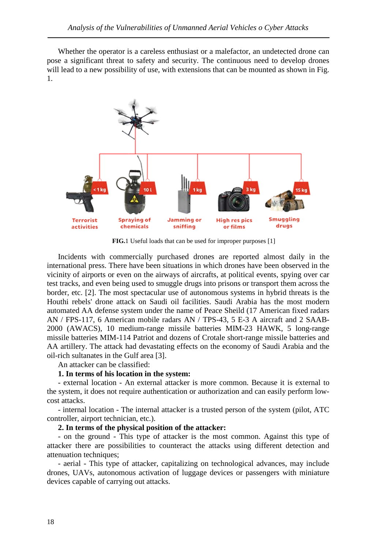Whether the operator is a careless enthusiast or a malefactor, an undetected drone can pose a significant threat to safety and security. The continuous need to develop drones will lead to a new possibility of use, with extensions that can be mounted as shown in Fig. 1.



**FIG.**1 Useful loads that can be used for improper purposes [1]

Incidents with commercially purchased drones are reported almost daily in the international press. There have been situations in which drones have been observed in the vicinity of airports or even on the airways of aircrafts, at political events, spying over car test tracks, and even being used to smuggle drugs into prisons or transport them across the border, etc. [2]. The most spectacular use of autonomous systems in hybrid threats is the Houthi rebels' drone attack on Saudi oil facilities. Saudi Arabia has the most modern automated AA defense system under the name of Peace Sheild (17 American fixed radars AN / FPS-117, 6 American mobile radars AN / TPS-43, 5 E-3 A aircraft and 2 SAAB-2000 (AWACS), 10 medium-range missile batteries MIM-23 HAWK, 5 long-range missile batteries MIM-114 Patriot and dozens of Crotale short-range missile batteries and AA artillery. The attack had devastating effects on the economy of Saudi Arabia and the oil-rich sultanates in the Gulf area [3].

An attacker can be classified:

# **1. In terms of his location in the system:**

- external location - An external attacker is more common. Because it is external to the system, it does not require authentication or authorization and can easily perform lowcost attacks.

- internal location - The internal attacker is a trusted person of the system (pilot, ATC controller, airport technician, etc.).

# **2. In terms of the physical position of the attacker:**

- on the ground - This type of attacker is the most common. Against this type of attacker there are possibilities to counteract the attacks using different detection and attenuation techniques;

- aerial - This type of attacker, capitalizing on technological advances, may include drones, UAVs, autonomous activation of luggage devices or passengers with miniature devices capable of carrying out attacks.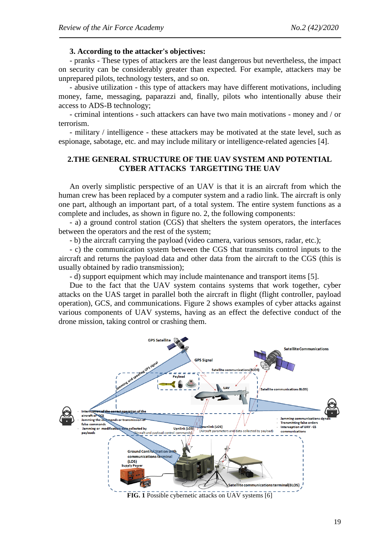# **3. According to the attacker's objectives:**

- pranks - These types of attackers are the least dangerous but nevertheless, the impact on security can be considerably greater than expected. For example, attackers may be unprepared pilots, technology testers, and so on.

- abusive utilization - this type of attackers may have different motivations, including money, fame, messaging, paparazzi and, finally, pilots who intentionally abuse their access to ADS-B technology;

- criminal intentions - such attackers can have two main motivations - money and / or terrorism.

- military / intelligence - these attackers may be motivated at the state level, such as espionage, sabotage, etc. and may include military or intelligence-related agencies [4].

# **2.THE GENERAL STRUCTURE OF THE UAV SYSTEM AND POTENTIAL CYBER ATTACKS TARGETTING THE UAV**

An overly simplistic perspective of an UAV is that it is an aircraft from which the human crew has been replaced by a computer system and a radio link. The aircraft is only one part, although an important part, of a total system. The entire system functions as a complete and includes, as shown in figure no. 2, the following components:

- a) a ground control station (CGS) that shelters the system operators, the interfaces between the operators and the rest of the system;

- b) the aircraft carrying the payload (video camera, various sensors, radar, etc.);

- c) the communication system between the CGS that transmits control inputs to the aircraft and returns the payload data and other data from the aircraft to the CGS (this is usually obtained by radio transmission);

- d) support equipment which may include maintenance and transport items [5].

Due to the fact that the UAV system contains systems that work together, cyber attacks on the UAS target in parallel both the aircraft in flight (flight controller, payload operation), GCS, and communications. Figure 2 shows examples of cyber attacks against various components of UAV systems, having as an effect the defective conduct of the drone mission, taking control or crashing them.



**FIG. 1** Possible cybernetic attacks on UAV systems [6]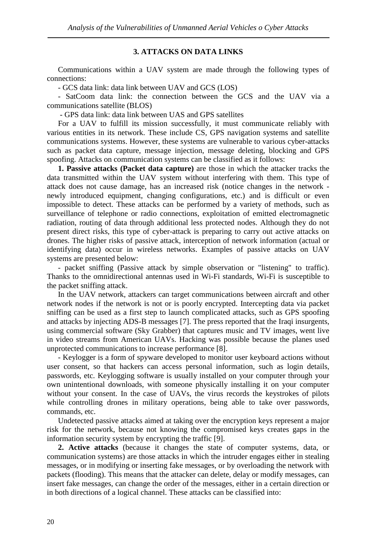# **3. ATTACKS ON DATA LINKS**

Communications within a UAV system are made through the following types of connections:

- GCS data link: data link between UAV and GCS (LOS)

- SatCoom data link: the connection between the GCS and the UAV via a communications satellite (BLOS)

- GPS data link: data link between UAS and GPS satellites

For a UAV to fulfill its mission successfully, it must communicate reliably with various entities in its network. These include CS, GPS navigation systems and satellite communications systems. However, these systems are vulnerable to various cyber-attacks such as packet data capture, message injection, message deleting, blocking and GPS spoofing. Attacks on communication systems can be classified as it follows:

**1. Passive attacks (Packet data capture)** are those in which the attacker tracks the data transmitted within the UAV system without interfering with them. This type of attack does not cause damage, has an increased risk (notice changes in the network newly introduced equipment, changing configurations, etc.) and is difficult or even impossible to detect. These attacks can be performed by a variety of methods, such as surveillance of telephone or radio connections, exploitation of emitted electromagnetic radiation, routing of data through additional less protected nodes. Although they do not present direct risks, this type of cyber-attack is preparing to carry out active attacks on drones. The higher risks of passive attack, interception of network information (actual or identifying data) occur in wireless networks. Examples of passive attacks on UAV systems are presented below:

- packet sniffing (Passive attack by simple observation or "listening" to traffic). Thanks to the omnidirectional antennas used in Wi-Fi standards, Wi-Fi is susceptible to the packet sniffing attack.

In the UAV network, attackers can target communications between aircraft and other network nodes if the network is not or is poorly encrypted. Intercepting data via packet sniffing can be used as a first step to launch complicated attacks, such as GPS spoofing and attacks by injecting ADS-B messages [7]. The press reported that the Iraqi insurgents, using commercial software (Sky Grabber) that captures music and TV images, went live in video streams from American UAVs. Hacking was possible because the planes used unprotected communications to increase performance [8].

- Keylogger is a form of spyware developed to monitor user keyboard actions without user consent, so that hackers can access personal information, such as login details, passwords, etc. Keylogging software is usually installed on your computer through your own unintentional downloads, with someone physically installing it on your computer without your consent. In the case of UAVs, the virus records the keystrokes of pilots while controlling drones in military operations, being able to take over passwords, commands, etc.

Undetected passive attacks aimed at taking over the encryption keys represent a major risk for the network, because not knowing the compromised keys creates gaps in the information security system by encrypting the traffic [9].

**2. Active attacks** (because it changes the state of computer systems, data, or communication systems) are those attacks in which the intruder engages either in stealing messages, or in modifying or inserting fake messages, or by overloading the network with packets (flooding). This means that the attacker can delete, delay or modify messages, can insert fake messages, can change the order of the messages, either in a certain direction or in both directions of a logical channel. These attacks can be classified into: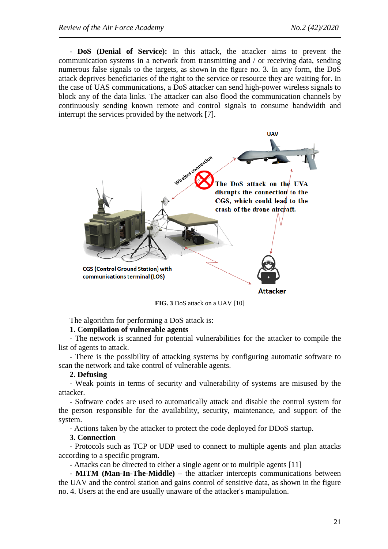**- DoS (Denial of Service):** In this attack, the attacker aims to prevent the communication systems in a network from transmitting and / or receiving data, sending numerous false signals to the targets, as shown in the figure no. 3. In any form, the DoS attack deprives beneficiaries of the right to the service or resource they are waiting for. In the case of UAS communications, a DoS attacker can send high-power wireless signals to block any of the data links. The attacker can also flood the communication channels by continuously sending known remote and control signals to consume bandwidth and interrupt the services provided by the network [7].



**FIG. 3** DoS attack on a UAV [10]

The algorithm for performing a DoS attack is:

# **1. Compilation of vulnerable agents**

- The network is scanned for potential vulnerabilities for the attacker to compile the list of agents to attack.

- There is the possibility of attacking systems by configuring automatic software to scan the network and take control of vulnerable agents.

# **2. Defusing**

- Weak points in terms of security and vulnerability of systems are misused by the attacker.

- Software codes are used to automatically attack and disable the control system for the person responsible for the availability, security, maintenance, and support of the system.

- Actions taken by the attacker to protect the code deployed for DDoS startup.

# **3. Connection**

- Protocols such as TCP or UDP used to connect to multiple agents and plan attacks according to a specific program.

- Attacks can be directed to either a single agent or to multiple agents [11]

**- MITM (Man-In-The-Middle)** – the attacker intercepts communications between the UAV and the control station and gains control of sensitive data, as shown in the figure no. 4. Users at the end are usually unaware of the attacker's manipulation.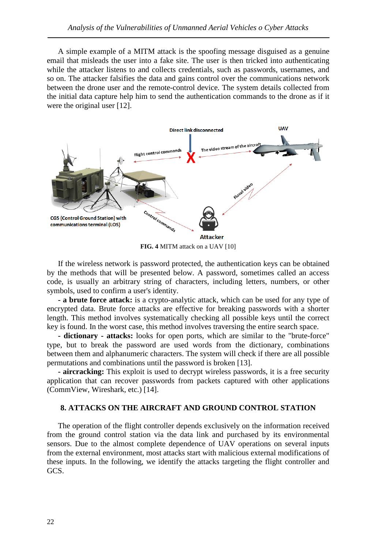A simple example of a MITM attack is the spoofing message disguised as a genuine email that misleads the user into a fake site. The user is then tricked into authenticating while the attacker listens to and collects credentials, such as passwords, usernames, and so on. The attacker falsifies the data and gains control over the communications network between the drone user and the remote-control device. The system details collected from the initial data capture help him to send the authentication commands to the drone as if it were the original user [12].



**FIG. 4** MITM attack on a UAV [10]

If the wireless network is password protected, the authentication keys can be obtained by the methods that will be presented below. A password, sometimes called an access code, is usually an arbitrary string of characters, including letters, numbers, or other symbols, used to confirm a user's identity.

**- a brute force attack:** is a crypto-analytic attack, which can be used for any type of encrypted data. Brute force attacks are effective for breaking passwords with a shorter length. This method involves systematically checking all possible keys until the correct key is found. In the worst case, this method involves traversing the entire search space.

**- dictionary - attacks:** looks for open ports, which are similar to the "brute-force" type, but to break the password are used words from the dictionary, combinations between them and alphanumeric characters. The system will check if there are all possible permutations and combinations until the password is broken [13].

**- aircracking:** This exploit is used to decrypt wireless passwords, it is a free security application that can recover passwords from packets captured with other applications (CommView, Wireshark, etc.) [14].

# **8. ATTACKS ON THE AIRCRAFT AND GROUND CONTROL STATION**

The operation of the flight controller depends exclusively on the information received from the ground control station via the data link and purchased by its environmental sensors. Due to the almost complete dependence of UAV operations on several inputs from the external environment, most attacks start with malicious external modifications of these inputs. In the following, we identify the attacks targeting the flight controller and GCS.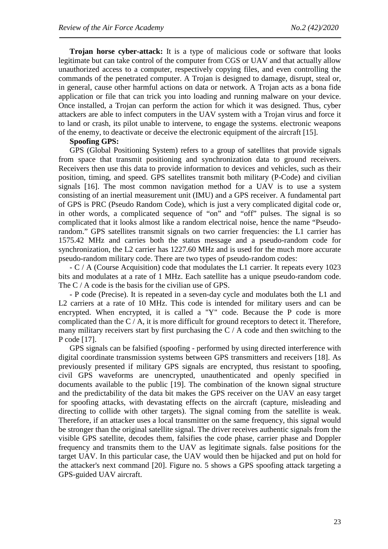**Trojan horse cyber-attack:** It is a type of malicious code or software that looks legitimate but can take control of the computer from CGS or UAV and that actually allow unauthorized access to a computer, respectively copying files, and even controlling the commands of the penetrated computer. A Trojan is designed to damage, disrupt, steal or, in general, cause other harmful actions on data or network. A Trojan acts as a bona fide application or file that can trick you into loading and running malware on your device. Once installed, a Trojan can perform the action for which it was designed. Thus, cyber attackers are able to infect computers in the UAV system with a Trojan virus and force it to land or crash, its pilot unable to intervene, to engage the systems. electronic weapons of the enemy, to deactivate or deceive the electronic equipment of the aircraft [15].

# **Spoofing GPS:**

GPS (Global Positioning System) refers to a group of satellites that provide signals from space that transmit positioning and synchronization data to ground receivers. Receivers then use this data to provide information to devices and vehicles, such as their position, timing, and speed. GPS satellites transmit both military (P-Code) and civilian signals [16]. The most common navigation method for a UAV is to use a system consisting of an inertial measurement unit (IMU) and a GPS receiver. A fundamental part of GPS is PRC (Pseudo Random Code), which is just a very complicated digital code or, in other words, a complicated sequence of "on" and "off" pulses. The signal is so complicated that it looks almost like a random electrical noise, hence the name "Pseudorandom." GPS satellites transmit signals on two carrier frequencies: the L1 carrier has 1575.42 MHz and carries both the status message and a pseudo-random code for synchronization, the L2 carrier has 1227.60 MHz and is used for the much more accurate pseudo-random military code. There are two types of pseudo-random codes:

- C / A (Course Acquisition) code that modulates the L1 carrier. It repeats every 1023 bits and modulates at a rate of 1 MHz. Each satellite has a unique pseudo-random code. The C / A code is the basis for the civilian use of GPS.

- P code (Precise). It is repeated in a seven-day cycle and modulates both the L1 and L2 carriers at a rate of 10 MHz. This code is intended for military users and can be encrypted. When encrypted, it is called a "Y" code. Because the P code is more complicated than the  $C / A$ , it is more difficult for ground receptors to detect it. Therefore, many military receivers start by first purchasing the  $C / A$  code and then switching to the P code [17].

GPS signals can be falsified (spoofing - performed by using directed interference with digital coordinate transmission systems between GPS transmitters and receivers [18]. As previously presented if military GPS signals are encrypted, thus resistant to spoofing, civil GPS waveforms are unencrypted, unauthenticated and openly specified in documents available to the public [19]. The combination of the known signal structure and the predictability of the data bit makes the GPS receiver on the UAV an easy target for spoofing attacks, with devastating effects on the aircraft (capture, misleading and directing to collide with other targets). The signal coming from the satellite is weak. Therefore, if an attacker uses a local transmitter on the same frequency, this signal would be stronger than the original satellite signal. The driver receives authentic signals from the visible GPS satellite, decodes them, falsifies the code phase, carrier phase and Doppler frequency and transmits them to the UAV as legitimate signals. false positions for the target UAV. In this particular case, the UAV would then be hijacked and put on hold for the attacker's next command [20]. Figure no. 5 shows a GPS spoofing attack targeting a GPS-guided UAV aircraft.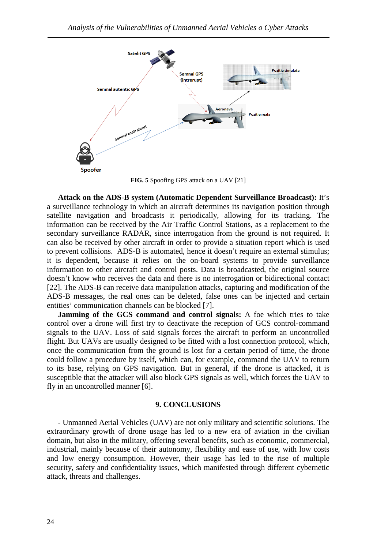

**FIG. 5** Spoofing GPS attack on a UAV [21]

**Attack on the ADS-B system (Automatic Dependent Surveillance Broadcast):** It's a surveillance technology in which an aircraft determines its navigation position through satellite navigation and broadcasts it periodically, allowing for its tracking. The information can be received by the Air Traffic Control Stations, as a replacement to the secondary surveillance RADAR, since interrogation from the ground is not required. It can also be received by other aircraft in order to provide a situation report which is used to prevent collisions. ADS-B is automated, hence it doesn't require an external stimulus; it is dependent, because it relies on the on-board systems to provide surveillance information to other aircraft and control posts. Data is broadcasted, the original source doesn't know who receives the data and there is no interrogation or bidirectional contact [22]. The ADS-B can receive data manipulation attacks, capturing and modification of the ADS-B messages, the real ones can be deleted, false ones can be injected and certain entities' communication channels can be blocked [7].

**Jamming of the GCS command and control signals:** A foe which tries to take control over a drone will first try to deactivate the reception of GCS control-command signals to the UAV. Loss of said signals forces the aircraft to perform an uncontrolled flight. But UAVs are usually designed to be fitted with a lost connection protocol, which, once the communication from the ground is lost for a certain period of time, the drone could follow a procedure by itself, which can, for example, command the UAV to return to its base, relying on GPS navigation. But in general, if the drone is attacked, it is susceptible that the attacker will also block GPS signals as well, which forces the UAV to fly in an uncontrolled manner [6].

#### **9. CONCLUSIONS**

- Unmanned Aerial Vehicles (UAV) are not only military and scientific solutions. The extraordinary growth of drone usage has led to a new era of aviation in the civilian domain, but also in the military, offering several benefits, such as economic, commercial, industrial, mainly because of their autonomy, flexibility and ease of use, with low costs and low energy consumption. However, their usage has led to the rise of multiple security, safety and confidentiality issues, which manifested through different cybernetic attack, threats and challenges.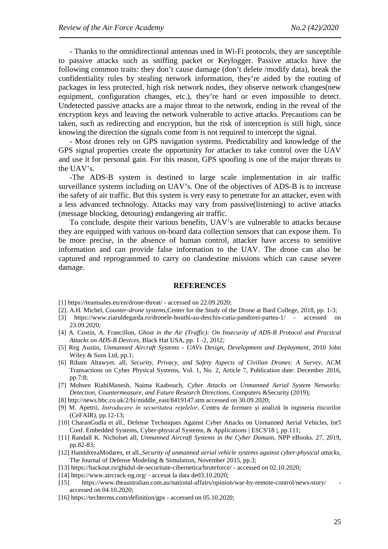- Thanks to the omnidirectional antennas used in Wi-Fi protocols, they are susceptible to passive attacks such as sniffing packet or Keylogger. Passive attacks have the following common traits: they don't cause damage (don't delete /modify data), break the confidentiality rules by stealing network information, they're aided by the routing of packages in less protected, high risk network nodes, they observe network changes(new equipment, configuration changes, etc.), they're hard or even impossible to detect. Undetected passive attacks are a major threat to the network, ending in the reveal of the encryption keys and leaving the network vulnerable to active attacks. Precautions can be taken, such as redirecting and encryption, but the risk of interception is still high, since knowing the direction the signals come from is not required to intercept the signal.

- Most drones rely on GPS navigation systems. Predictability and knowledge of the GPS signal properties create the opportunity for attacker to take control over the UAV and use it for personal gain. For this reason, GPS spoofing is one of the major threats to the UAV's.

-The ADS-B system is destined to large scale implementation in air traffic surveillance systems including on UAV's. One of the objectives of ADS-B is to increase the safety of air traffic. But this system is very easy to penetrate for an attacker, even with a less advanced technology. Attacks may vary from passive(listening) to active attacks (message blocking, detouring) endangering air traffic.

To conclude, despite their various benefits, UAV's are vulnerable to attacks because they are equipped with various on-board data collection sensors that can expose them. To be more precise, in the absence of human control, attacker have access to sensitive information and can provide false information to the UAV. The drone can also be captured and reprogrammed to carry on clandestine missions which can cause severe damage.

#### **REFERENCES**

[1]<https://teamsales.eu/en/drone-threat/> - accessed on 22.09.2020;

[2]. A.H. Michel, *Counter-drone systems*,Center for the Study of the Drone at Bard College, 2018, pp. 1-3;

- [3] <https://www.ziaruldegarda.ro/dronele-houthi-au-deschis-cutia-pandorei-partea-1/> accessed on 23.09.2020;
- [4] A. Costin, A. Francillon, *Ghost in the Air (Traffic): On Insecurity of ADS-B Protocol and Practical Attacks on ADS-B Devices*, Black Hat USA, pp. 1 -2, 2012*;*
- [5] Reg Austin, *Unmanned Aircraft Systems - UAVs Design, Development and Deployment,* 2010 John Wiley & Sons Ltd, pp.1;
- [6] Riham Altawyet. all, *Security, Privacy, and Safety Aspects of Civilian Drones: A Survey*, ACM Transactions on Cyber Physical Systems, Vol. 1, No. 2, Article 7, Publication date: December 2016, pp.7:8;
- [7] Mohsen RiahiManesh, Naima Kaabouch, *Cyber Attacks on Unmanned Aerial System Networks: Detection, Countermeasure, and Future Research Directions*, Computers &Security (2019);
- [8] [http://news.bbc.co.uk/2/hi/middle\\_east/8419147.stm](http://news.bbc.co.uk/2/hi/middle_east/8419147.stm) accessed on 30.09.2020;
- [9] M. Apetrii, *Introducere în securitatea rețelelor*, Centru de formare și analiză în ingineria riscurilor (CeFAIR), pp.12-13;
- [10] CharanGudla et all., Defense Techniques Against Cyber Attacks on Unmanned Aerial Vehicles, Int'l Conf. Embedded Systems, Cyber-physical Systems, & Applications | ESCS'18 |, pp.111;
- [11] Randall K. Nicholset all, *Unmanned Aircraft Systems in the Cyber Domain*, NPP eBooks. 27, 2019, pp.82-83;
- [12] HamidrezaModares, et all.,*Security of unmanned aerial vehicle systems against cyber-physical attacks*, The Journal of Defense Modeling & Simulation, November 2015, pp.3;
- [13] https://hackout.ro/ghidul-de-securitate-cibernetica/bruteforce/ accessed on 02.10.2020;
- [14] https://www.aircrack-ng.org/ accesat la data de03.10.2020;
- [15] https://www.theaustralian.com.au/national-affairs/opinion/war-by-remote-control/news-story/ accessed on 04.10.2020;
- [16] https://techterms.com/definition/gps accessed on 05.10.2020;